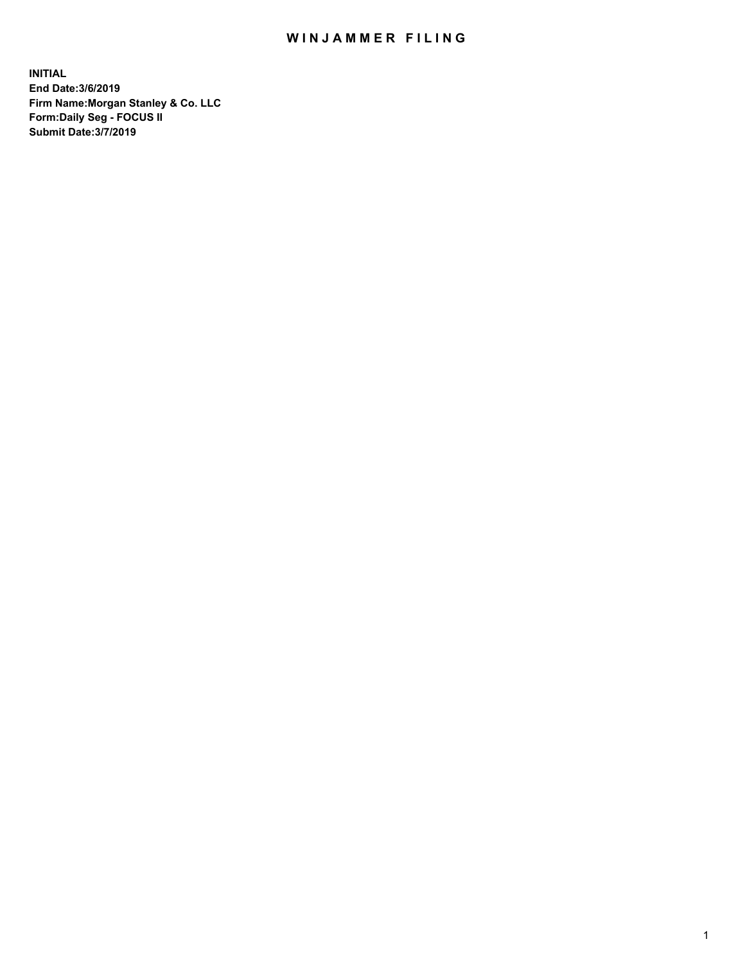## WIN JAMMER FILING

**INITIAL End Date:3/6/2019 Firm Name:Morgan Stanley & Co. LLC Form:Daily Seg - FOCUS II Submit Date:3/7/2019**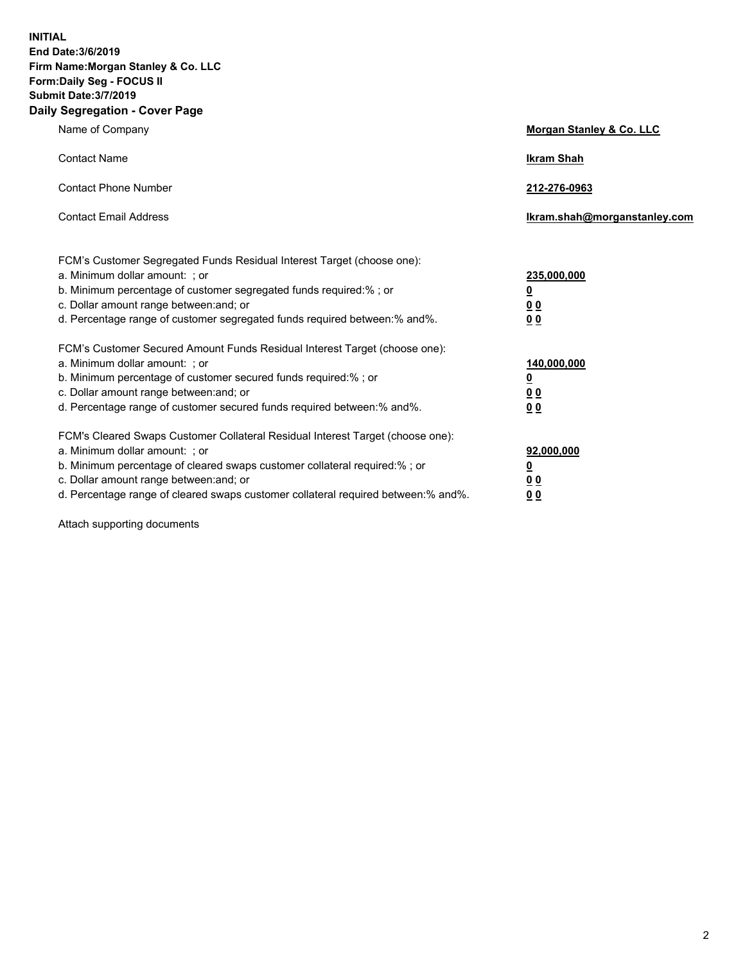**INITIAL End Date:3/6/2019 Firm Name:Morgan Stanley & Co. LLC Form:Daily Seg - FOCUS II Submit Date:3/7/2019 Daily Segregation - Cover Page**

| Name of Company                                                                                                                                                                                                                                                                                                                | Morgan Stanley & Co. LLC                        |
|--------------------------------------------------------------------------------------------------------------------------------------------------------------------------------------------------------------------------------------------------------------------------------------------------------------------------------|-------------------------------------------------|
| <b>Contact Name</b>                                                                                                                                                                                                                                                                                                            | <b>Ikram Shah</b>                               |
| <b>Contact Phone Number</b>                                                                                                                                                                                                                                                                                                    | 212-276-0963                                    |
| <b>Contact Email Address</b>                                                                                                                                                                                                                                                                                                   | Ikram.shah@morganstanley.com                    |
| FCM's Customer Segregated Funds Residual Interest Target (choose one):<br>a. Minimum dollar amount: ; or<br>b. Minimum percentage of customer segregated funds required:% ; or<br>c. Dollar amount range between: and; or<br>d. Percentage range of customer segregated funds required between:% and%.                         | 235,000,000<br><u>0</u><br><u>00</u><br>00      |
| FCM's Customer Secured Amount Funds Residual Interest Target (choose one):<br>a. Minimum dollar amount: ; or<br>b. Minimum percentage of customer secured funds required:% ; or<br>c. Dollar amount range between: and; or<br>d. Percentage range of customer secured funds required between: % and %.                         | 140,000,000<br><u>0</u><br>0 <sub>0</sub><br>00 |
| FCM's Cleared Swaps Customer Collateral Residual Interest Target (choose one):<br>a. Minimum dollar amount: ; or<br>b. Minimum percentage of cleared swaps customer collateral required:% ; or<br>c. Dollar amount range between: and; or<br>d. Percentage range of cleared swaps customer collateral required between:% and%. | 92,000,000<br><u>0</u><br>0 Q<br>0 <sub>0</sub> |

Attach supporting documents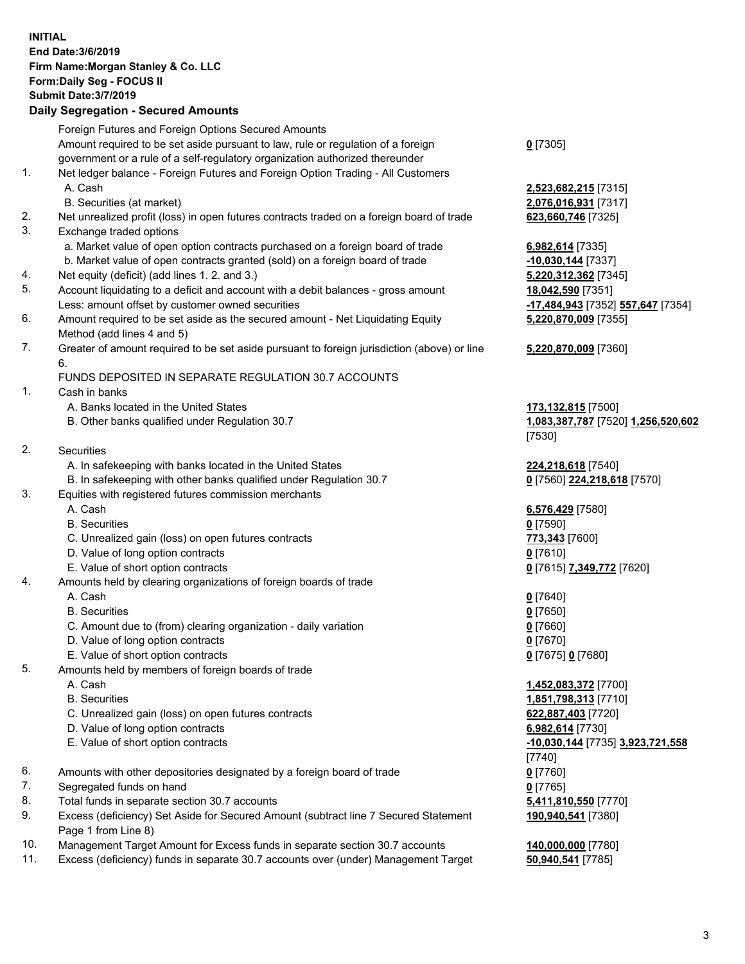## **INITIAL End Date:3/6/2019 Firm Name:Morgan Stanley & Co. LLC Form:Daily Seg - FOCUS II Submit Date:3/7/2019 Daily Segregation - Secured Amounts** Foreign Futures and Foreign Options Secured Amounts Amount required to be set aside pursuant to law, rule or regulation of a foreign government or a rule of a self-regulatory organization authorized thereunder **0** [7305] 1. Net ledger balance - Foreign Futures and Foreign Option Trading - All Customers A. Cash **2,523,682,215** [7315] B. Securities (at market) **2,076,016,931** [7317] 2. Net unrealized profit (loss) in open futures contracts traded on a foreign board of trade **623,660,746** [7325] 3. Exchange traded options a. Market value of open option contracts purchased on a foreign board of trade **6,982,614** [7335] b. Market value of open contracts granted (sold) on a foreign board of trade **-10,030,144** [7337] 4. Net equity (deficit) (add lines 1. 2. and 3.) **5,220,312,362** [7345] 5. Account liquidating to a deficit and account with a debit balances - gross amount **18,042,590** [7351] Less: amount offset by customer owned securities **-17,484,943** [7352] **557,647** [7354] 6. Amount required to be set aside as the secured amount - Net Liquidating Equity Method (add lines 4 and 5) **5,220,870,009** [7355] 7. Greater of amount required to be set aside pursuant to foreign jurisdiction (above) or line 6. **5,220,870,009** [7360] FUNDS DEPOSITED IN SEPARATE REGULATION 30.7 ACCOUNTS 1. Cash in banks A. Banks located in the United States **173,132,815** [7500] B. Other banks qualified under Regulation 30.7 **1,083,387,787** [7520] **1,256,520,602** [7530] 2. Securities A. In safekeeping with banks located in the United States **224,218,618** [7540] B. In safekeeping with other banks qualified under Regulation 30.7 **0** [7560] **224,218,618** [7570] 3. Equities with registered futures commission merchants A. Cash **6,576,429** [7580] B. Securities **0** [7590] C. Unrealized gain (loss) on open futures contracts **773,343** [7600] D. Value of long option contracts **0** [7610] E. Value of short option contracts **0** [7615] **7,349,772** [7620] 4. Amounts held by clearing organizations of foreign boards of trade A. Cash **0** [7640] B. Securities **0** [7650] C. Amount due to (from) clearing organization - daily variation **0** [7660] D. Value of long option contracts **0** [7670] E. Value of short option contracts **0** [7675] **0** [7680] 5. Amounts held by members of foreign boards of trade A. Cash **1,452,083,372** [7700] B. Securities **1,851,798,313** [7710] C. Unrealized gain (loss) on open futures contracts **622,887,403** [7720] D. Value of long option contracts **6,982,614** [7730] E. Value of short option contracts **-10,030,144** [7735] **3,923,721,558** [7740] 6. Amounts with other depositories designated by a foreign board of trade **0** [7760] 7. Segregated funds on hand **0** [7765] 8. Total funds in separate section 30.7 accounts **5,411,810,550** [7770] 9. Excess (deficiency) Set Aside for Secured Amount (subtract line 7 Secured Statement Page 1 from Line 8) **190,940,541** [7380] 10. Management Target Amount for Excess funds in separate section 30.7 accounts **140,000,000** [7780]

11. Excess (deficiency) funds in separate 30.7 accounts over (under) Management Target **50,940,541** [7785]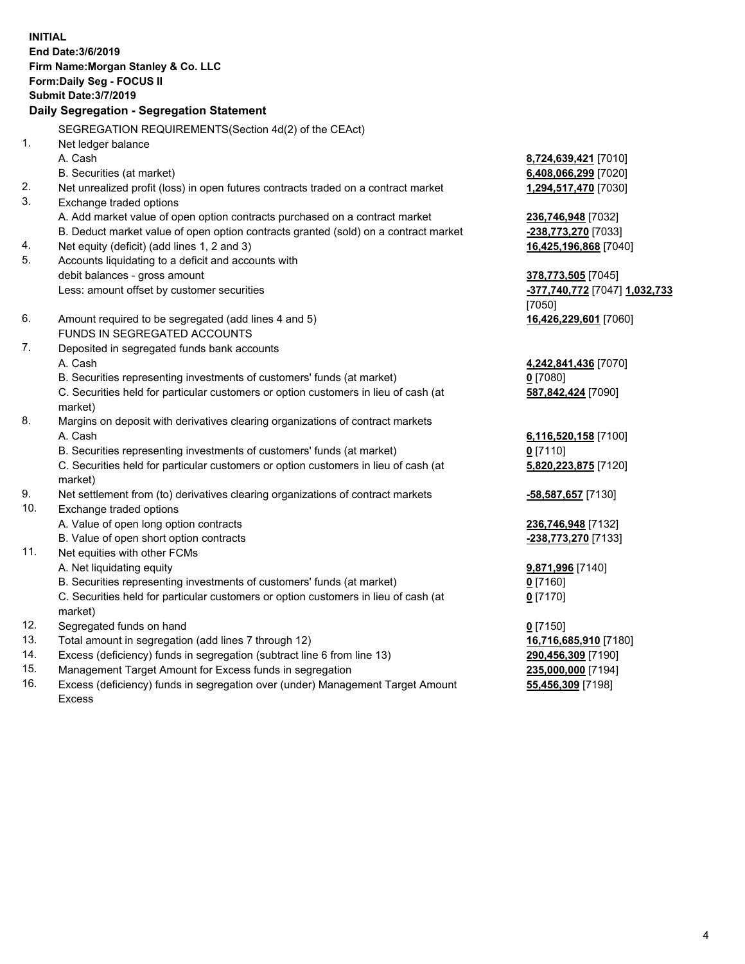**INITIAL End Date:3/6/2019 Firm Name:Morgan Stanley & Co. LLC Form:Daily Seg - FOCUS II Submit Date:3/7/2019 Daily Segregation - Segregation Statement** SEGREGATION REQUIREMENTS(Section 4d(2) of the CEAct) 1. Net ledger balance A. Cash **8,724,639,421** [7010] B. Securities (at market) **6,408,066,299** [7020] 2. Net unrealized profit (loss) in open futures contracts traded on a contract market **1,294,517,470** [7030] 3. Exchange traded options A. Add market value of open option contracts purchased on a contract market **236,746,948** [7032] B. Deduct market value of open option contracts granted (sold) on a contract market **-238,773,270** [7033] 4. Net equity (deficit) (add lines 1, 2 and 3) **16,425,196,868** [7040] 5. Accounts liquidating to a deficit and accounts with debit balances - gross amount **378,773,505** [7045] Less: amount offset by customer securities **-377,740,772** [7047] **1,032,733** [7050] 6. Amount required to be segregated (add lines 4 and 5) **16,426,229,601** [7060] FUNDS IN SEGREGATED ACCOUNTS 7. Deposited in segregated funds bank accounts A. Cash **4,242,841,436** [7070] B. Securities representing investments of customers' funds (at market) **0** [7080] C. Securities held for particular customers or option customers in lieu of cash (at market) **587,842,424** [7090] 8. Margins on deposit with derivatives clearing organizations of contract markets A. Cash **6,116,520,158** [7100] B. Securities representing investments of customers' funds (at market) **0** [7110] C. Securities held for particular customers or option customers in lieu of cash (at market) **5,820,223,875** [7120] 9. Net settlement from (to) derivatives clearing organizations of contract markets **-58,587,657** [7130] 10. Exchange traded options A. Value of open long option contracts **236,746,948** [7132] B. Value of open short option contracts **-238,773,270** [7133] 11. Net equities with other FCMs A. Net liquidating equity **9,871,996** [7140] B. Securities representing investments of customers' funds (at market) **0** [7160] C. Securities held for particular customers or option customers in lieu of cash (at market) **0** [7170] 12. Segregated funds on hand **0** [7150] 13. Total amount in segregation (add lines 7 through 12) **16,716,685,910** [7180] 14. Excess (deficiency) funds in segregation (subtract line 6 from line 13) **290,456,309** [7190]

- 15. Management Target Amount for Excess funds in segregation **235,000,000** [7194]
- 16. Excess (deficiency) funds in segregation over (under) Management Target Amount Excess

**55,456,309** [7198]